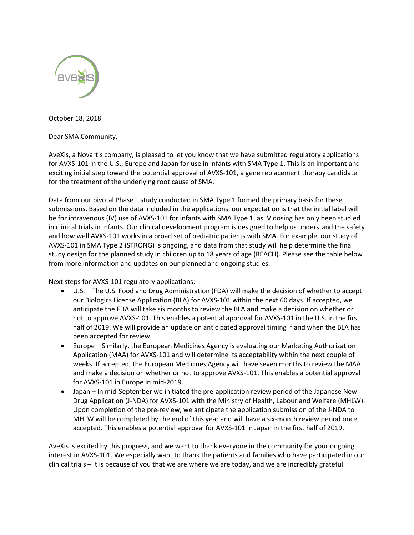

October 18, 2018

Dear SMA Community,

AveXis, a Novartis company, is pleased to let you know that we have submitted regulatory applications for AVXS-101 in the U.S., Europe and Japan for use in infants with SMA Type 1. This is an important and exciting initial step toward the potential approval of AVXS-101, a gene replacement therapy candidate for the treatment of the underlying root cause of SMA.

Data from our pivotal Phase 1 study conducted in SMA Type 1 formed the primary basis for these submissions. Based on the data included in the applications, our expectation is that the initial label will be for intravenous (IV) use of AVXS-101 for infants with SMA Type 1, as IV dosing has only been studied in clinical trials in infants. Our clinical development program is designed to help us understand the safety and how well AVXS-101 works in a broad set of pediatric patients with SMA. For example, our study of AVXS-101 in SMA Type 2 (STRONG) is ongoing, and data from that study will help determine the final study design for the planned study in children up to 18 years of age (REACH). Please see the table below from more information and updates on our planned and ongoing studies.

Next steps for AVXS-101 regulatory applications:

- U.S. The U.S. Food and Drug Administration (FDA) will make the decision of whether to accept our Biologics License Application (BLA) for AVXS-101 within the next 60 days. If accepted, we anticipate the FDA will take six months to review the BLA and make a decision on whether or not to approve AVXS-101. This enables a potential approval for AVXS-101 in the U.S. in the first half of 2019. We will provide an update on anticipated approval timing if and when the BLA has been accepted for review.
- Europe Similarly, the European Medicines Agency is evaluating our Marketing Authorization Application (MAA) for AVXS-101 and will determine its acceptability within the next couple of weeks. If accepted, the European Medicines Agency will have seven months to review the MAA and make a decision on whether or not to approve AVXS-101. This enables a potential approval for AVXS-101 in Europe in mid-2019.
- Japan In mid-September we initiated the pre-application review period of the Japanese New Drug Application (J-NDA) for AVXS-101 with the Ministry of Health, Labour and Welfare (MHLW). Upon completion of the pre-review, we anticipate the application submission of the J-NDA to MHLW will be completed by the end of this year and will have a six-month review period once accepted. This enables a potential approval for AVXS-101 in Japan in the first half of 2019.

AveXis is excited by this progress, and we want to thank everyone in the community for your ongoing interest in AVXS-101. We especially want to thank the patients and families who have participated in our clinical trials – it is because of you that we are where we are today, and we are incredibly grateful.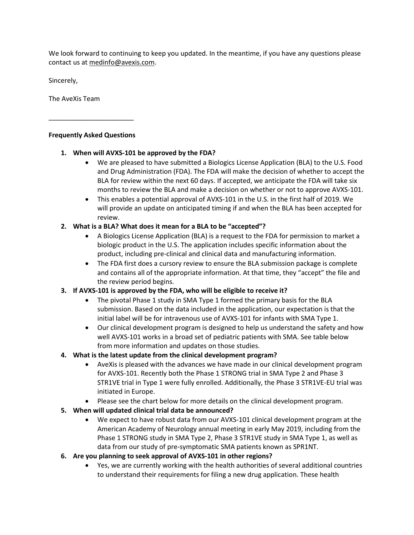We look forward to continuing to keep you updated. In the meantime, if you have any questions please contact us at [medinfo@avexis.com.](mailto:medinfo@avexis.com)

Sincerely,

The AveXis Team

### **Frequently Asked Questions**

\_\_\_\_\_\_\_\_\_\_\_\_\_\_\_\_\_\_\_\_\_\_\_

### **1. When will AVXS-101 be approved by the FDA?**

- We are pleased to have submitted a Biologics License Application (BLA) to the U.S. Food and Drug Administration (FDA). The FDA will make the decision of whether to accept the BLA for review within the next 60 days. If accepted, we anticipate the FDA will take six months to review the BLA and make a decision on whether or not to approve AVXS-101.
- This enables a potential approval of AVXS-101 in the U.S. in the first half of 2019. We will provide an update on anticipated timing if and when the BLA has been accepted for review.

# **2. What is a BLA? What does it mean for a BLA to be "accepted"?**

- A Biologics License Application (BLA) is a request to the FDA for permission to market a biologic product in the U.S. The application includes specific information about the product, including pre-clinical and clinical data and manufacturing information.
- The FDA first does a cursory review to ensure the BLA submission package is complete and contains all of the appropriate information. At that time, they "accept" the file and the review period begins.

# **3. If AVXS-101 is approved by the FDA, who will be eligible to receive it?**

- The pivotal Phase 1 study in SMA Type 1 formed the primary basis for the BLA submission. Based on the data included in the application, our expectation is that the initial label will be for intravenous use of AVXS-101 for infants with SMA Type 1.
- Our clinical development program is designed to help us understand the safety and how well AVXS-101 works in a broad set of pediatric patients with SMA. See table below from more information and updates on those studies.

# **4. What is the latest update from the clinical development program?**

- AveXis is pleased with the advances we have made in our clinical development program for AVXS-101. Recently both the Phase 1 STRONG trial in SMA Type 2 and Phase 3 STR1VE trial in Type 1 were fully enrolled. Additionally, the Phase 3 STR1VE-EU trial was initiated in Europe.
- Please see the chart below for more details on the clinical development program.

# **5. When will updated clinical trial data be announced?**

 We expect to have robust data from our AVXS-101 clinical development program at the American Academy of Neurology annual meeting in early May 2019, including from the Phase 1 STRONG study in SMA Type 2, Phase 3 STR1VE study in SMA Type 1, as well as data from our study of pre-symptomatic SMA patients known as SPR1NT.

# **6. Are you planning to seek approval of AVXS-101 in other regions?**

 Yes, we are currently working with the health authorities of several additional countries to understand their requirements for filing a new drug application. These health